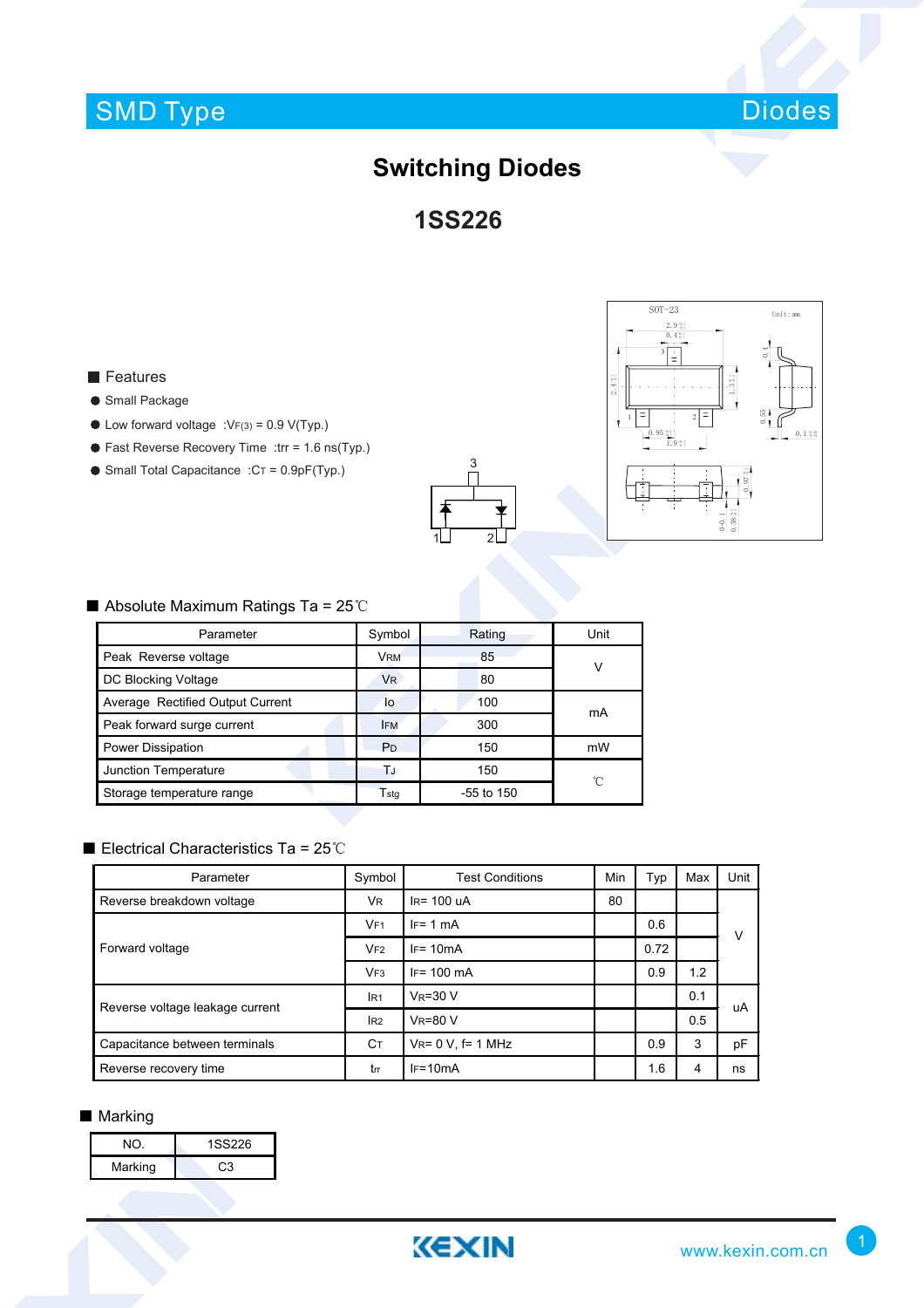# SMD Type



## **Switching Diodes**

**1SS226**

### **Features**

#### **Small Package**

- $\bullet$  Low forward voltage :VF(3) = 0.9 V(Typ.)
- Fast Reverse Recovery Time :trr = 1.6 ns(Typ.)
- $\bullet$  Small Total Capacitance : $CT = 0.9pF(Typ.)$





### ■ Absolute Maximum Ratings Ta = 25℃

| Parameter                        | Symbol         | Rating       | Unit |  |
|----------------------------------|----------------|--------------|------|--|
| Peak Reverse voltage             | <b>VRM</b>     | 85           | ν    |  |
| DC Blocking Voltage              | <b>VR</b>      | 80           |      |  |
| Average Rectified Output Current | lo             | 100          | mA   |  |
| Peak forward surge current       | <b>IFM</b>     | 300          |      |  |
| Power Dissipation                | P <sub>D</sub> | 150          | mW   |  |
| Junction Temperature             | ТJ             | 150          | °C   |  |
| Storage temperature range        | Tstq           | $-55$ to 150 |      |  |

## ■ Electrical Characteristics Ta = 25℃

| Parameter                       | Symbol          | <b>Test Conditions</b>   | Min | Typ  | Max | Unit |
|---------------------------------|-----------------|--------------------------|-----|------|-----|------|
| Reverse breakdown voltage       | <b>VR</b>       | $IR = 100uA$             | 80  |      |     |      |
| Forward voltage                 | VF1             | $IF = 1 mA$              |     | 0.6  |     | v    |
|                                 | VF2             | $IF = 10mA$              |     | 0.72 |     |      |
|                                 | VF3             | $IF = 100 \text{ mA}$    |     | 0.9  | 1.2 |      |
| Reverse voltage leakage current | IR <sub>1</sub> | $V_R = 30 V$             |     |      | 0.1 | uA   |
|                                 | I <sub>R2</sub> | $V_R = 80 V$             |     |      | 0.5 |      |
| Capacitance between terminals   | Cт              | $V_{R} = 0 V$ , f= 1 MHz |     | 0.9  | 3   | рF   |
| Reverse recovery time           | trr             | $IF=10mA$                |     | 1.6  | 4   | ns   |

#### ■ Marking

| NO.     | 1SS226 |
|---------|--------|
| Marking | CЗ     |